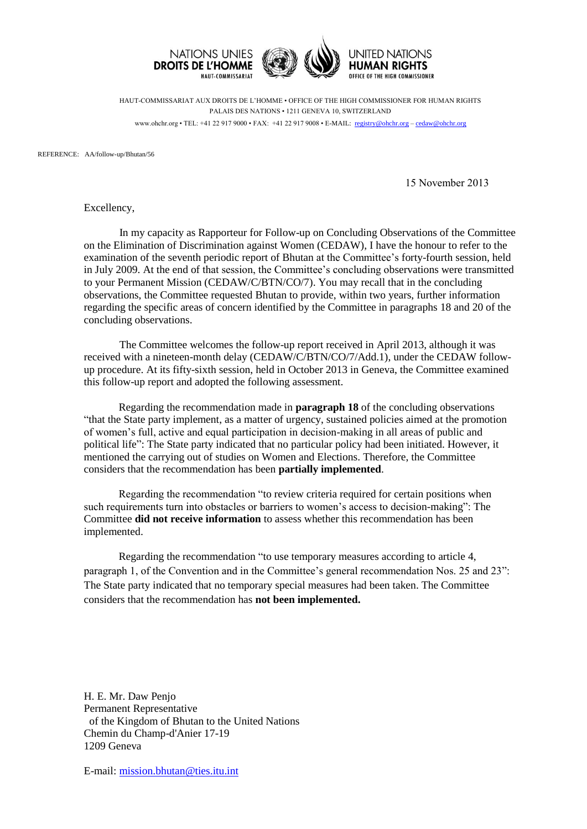

HAUT-COMMISSARIAT AUX DROITS DE L'HOMME • OFFICE OF THE HIGH COMMISSIONER FOR HUMAN RIGHTS PALAIS DES NATIONS • 1211 GENEVA 10, SWITZERLAND www.ohchr.org • TEL: +41 22 917 9000 • FAX: +41 22 917 9008 • E-MAIL: registry@ohchr.org – cedaw@ohchr.org

REFERENCE: AA/follow-up/Bhutan/56

15 November 2013

Excellency,

In my capacity as Rapporteur for Follow-up on Concluding Observations of the Committee on the Elimination of Discrimination against Women (CEDAW), I have the honour to refer to the examination of the seventh periodic report of Bhutan at the Committee's forty-fourth session, held in July 2009. At the end of that session, the Committee's concluding observations were transmitted to your Permanent Mission (CEDAW/C/BTN/CO/7). You may recall that in the concluding observations, the Committee requested Bhutan to provide, within two years, further information regarding the specific areas of concern identified by the Committee in paragraphs 18 and 20 of the concluding observations.

The Committee welcomes the follow-up report received in April 2013, although it was received with a nineteen-month delay (CEDAW/C/BTN/CO/7/Add.1), under the CEDAW followup procedure. At its fifty-sixth session, held in October 2013 in Geneva, the Committee examined this follow-up report and adopted the following assessment.

Regarding the recommendation made in **paragraph 18** of the concluding observations "that the State party implement, as a matter of urgency, sustained policies aimed at the promotion of women's full, active and equal participation in decision-making in all areas of public and political life": The State party indicated that no particular policy had been initiated. However, it mentioned the carrying out of studies on Women and Elections. Therefore, the Committee considers that the recommendation has been **partially implemented**.

Regarding the recommendation "to review criteria required for certain positions when such requirements turn into obstacles or barriers to women's access to decision-making": The Committee **did not receive information** to assess whether this recommendation has been implemented.

Regarding the recommendation "to use temporary measures according to article 4, paragraph 1, of the Convention and in the Committee's general recommendation Nos. 25 and 23": The State party indicated that no temporary special measures had been taken. The Committee considers that the recommendation has **not been implemented.**

H. E. Mr. Daw Penjo Permanent Representative of the Kingdom of Bhutan to the United Nations Chemin du Champ-d'Anier 17-19 1209 Geneva

E-mail: [mission.bhutan@ties.itu.int](mailto:mission.bhutan@ties.itu.int)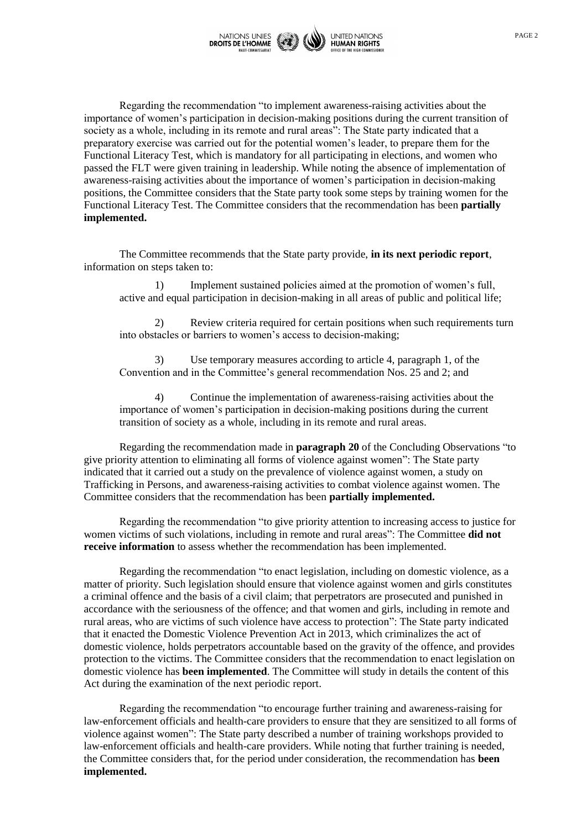

Regarding the recommendation "to implement awareness-raising activities about the importance of women's participation in decision-making positions during the current transition of society as a whole, including in its remote and rural areas": The State party indicated that a preparatory exercise was carried out for the potential women's leader, to prepare them for the Functional Literacy Test, which is mandatory for all participating in elections, and women who passed the FLT were given training in leadership. While noting the absence of implementation of awareness-raising activities about the importance of women's participation in decision-making positions, the Committee considers that the State party took some steps by training women for the Functional Literacy Test. The Committee considers that the recommendation has been **partially implemented.**

The Committee recommends that the State party provide, **in its next periodic report**, information on steps taken to:

1) Implement sustained policies aimed at the promotion of women's full, active and equal participation in decision-making in all areas of public and political life;

2) Review criteria required for certain positions when such requirements turn into obstacles or barriers to women's access to decision-making;

3) Use temporary measures according to article 4, paragraph 1, of the Convention and in the Committee's general recommendation Nos. 25 and 2; and

4) Continue the implementation of awareness-raising activities about the importance of women's participation in decision-making positions during the current transition of society as a whole, including in its remote and rural areas.

Regarding the recommendation made in **paragraph 20** of the Concluding Observations "to give priority attention to eliminating all forms of violence against women": The State party indicated that it carried out a study on the prevalence of violence against women, a study on Trafficking in Persons, and awareness-raising activities to combat violence against women. The Committee considers that the recommendation has been **partially implemented.**

Regarding the recommendation "to give priority attention to increasing access to justice for women victims of such violations, including in remote and rural areas": The Committee **did not receive information** to assess whether the recommendation has been implemented.

Regarding the recommendation "to enact legislation, including on domestic violence, as a matter of priority. Such legislation should ensure that violence against women and girls constitutes a criminal offence and the basis of a civil claim; that perpetrators are prosecuted and punished in accordance with the seriousness of the offence; and that women and girls, including in remote and rural areas, who are victims of such violence have access to protection": The State party indicated that it enacted the Domestic Violence Prevention Act in 2013, which criminalizes the act of domestic violence, holds perpetrators accountable based on the gravity of the offence, and provides protection to the victims. The Committee considers that the recommendation to enact legislation on domestic violence has **been implemented**. The Committee will study in details the content of this Act during the examination of the next periodic report.

Regarding the recommendation "to encourage further training and awareness-raising for law-enforcement officials and health-care providers to ensure that they are sensitized to all forms of violence against women": The State party described a number of training workshops provided to law-enforcement officials and health-care providers. While noting that further training is needed, the Committee considers that, for the period under consideration, the recommendation has **been implemented.**